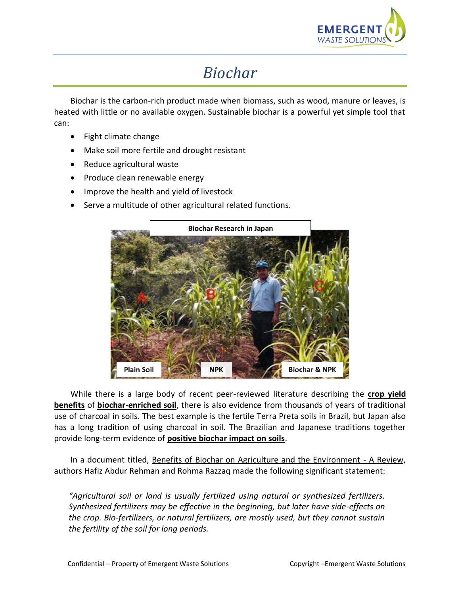

## *Biochar*

Biochar is the carbon-rich product made when biomass, such as wood, manure or leaves, is heated with little or no available oxygen. Sustainable biochar is a powerful yet simple tool that can:

- Fight climate change
- Make soil more fertile and drought resistant
- Reduce agricultural waste
- Produce clean renewable energy
- Improve the health and yield of livestock
- Serve a multitude of other agricultural related functions.



While there is a large body of recent peer-reviewed literature describing the **crop yield benefits** of **biochar-enriched soil**, there is also evidence from thousands of years of traditional use of charcoal in soils. The best example is the fertile Terra Preta soils in Brazil, but Japan also has a long tradition of using charcoal in soil. The Brazilian and Japanese traditions together provide long-term evidence of **positive biochar impact on soils**.

In a document titled, Benefits of Biochar on Agriculture and the Environment - A Review, authors Hafiz Abdur Rehman and Rohma Razzaq made the following significant statement:

*"Agricultural soil or land is usually fertilized using natural or synthesized fertilizers. Synthesized fertilizers may be effective in the beginning, but later have side-effects on the crop. Bio-fertilizers, or natural fertilizers, are mostly used, but they cannot sustain the fertility of the soil for long periods.*